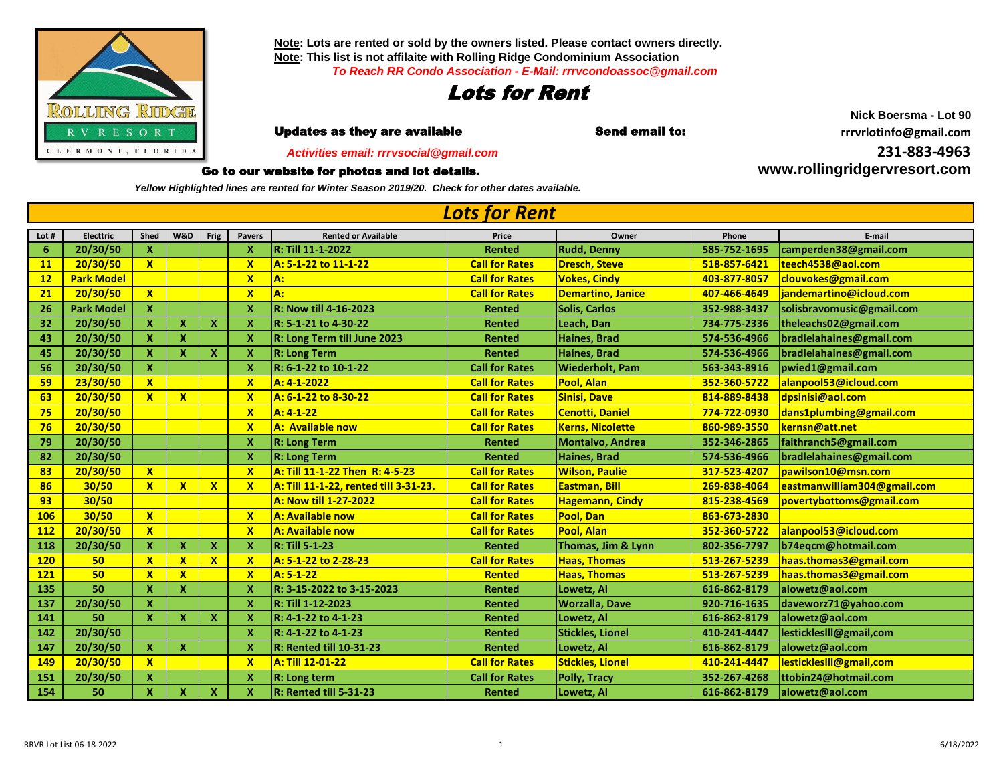

**Note: Lots are rented or sold by the owners listed. Please contact owners directly. Note: This list is not affilaite with Rolling Ridge Condominium Association** *To Reach RR Condo Association - E-Mail: rrrvcondoassoc@gmail.com*



**r i i Updates as they are available in the Send email to: the send of the community of the Updates as they are available** 

 *Activities email: rrrvsocial@gmail.com*

## Go to our website for photos and lot details.

*Yellow Highlighted lines are rented for Winter Season 2019/20. Check for other dates available.*

**Lot # Electtric Shed W&D Frig Pavers Rented or Available Price Owner Phone E-mail 20/30/50 X X R: Till 11-1-2022 Rented Rudd, Denny 585-752-1695 [camperden38@gmail.com](mailto:camperden38@gmail.com) 20/30/50 X X A: 5-1-22 to 11-1-22 Call for Rates Dresch, Steve 518-857-6421 [teech4538@aol.com](mailto:teech4538@aol.com) Park Model X A: Call for Rates Vokes, Cindy 403-877-8057 [clouvokes@gmail.com](mailto:clouvokes@gmail.com) 20/30/50 X X A: Call for Rates Demartino, Janice 407-466-4649 [jandemartino@icloud.com](mailto:jandemartino@icloud.com) Park Model X X R: Now till 4-16-2023 Rented Solis, Carlos 352-988-3437 [solisbravomusic@gmail.com](mailto:solisbravomusic@gmail.com) 20/30/50 X X X X R: 5-1-21 to 4-30-22 Rented Leach, Dan 734-775-2336 [theleachs02@gmail.com](mailto:theleachs02@gmail.com) 20/30/50 X X X R: Long Term till June 2023 Rented Haines, Brad 574-536-4966 [bradlelahaines@gmail.com](mailto:bradlelahaines@gmail.com) 20/30/50 X X X X R: Long Term Rented Haines, Brad 574-536-4966 [bradlelahaines@gmail.com](mailto:bradlelahaines@gmail.com) 20/30/50 X X R: 6-1-22 to 10-1-22 Call for Rates Wiederholt, Pam 563-343-8916 [pwied1@gmail.com](mailto:pwied1@gmail.com) 23/30/50 X X A: 4-1-2022 Call for Rates Pool, Alan 352-360-5722 [alanpool53@icloud.com](mailto:alanpool53@icloud.com) 20/30/50 X X X A: 6-1-22 to 8-30-22 Call for Rates Sinisi, Dave 814-889-8438 [dpsinisi@aol.com](mailto:dpsinisi@aol.com) 20/30/50 X A: 4-1-22 Call for Rates Cenotti, Daniel 774-722-0930 [dans1plumbing@gmail.com](mailto:dans1plumbing@gmail.com) 20/30/50 X A: Available now Call for Rates Kerns, Nicolette 860-989-3550 [kernsn@att.net](mailto:kernsn@att.net) 20/30/50 X R: Long Term Rented Montalvo, Andrea 352-346-2865 [faithranch5@gmail.com](mailto:faithranch5@gmail.com) 20/30/50 X R: Long Term Rented Haines, Brad 574-536-4966 [bradlelahaines@gmail.com](mailto:bradlelahaines@gmail.com) 20/30/50 X X A: Till 11-1-22 Then R: 4-5-23 Call for Rates Wilson, Paulie 317-523-4207 [pawilson10@msn.com](mailto:pawilson10@msn.com) 30/50 X X X X A: Till 11-1-22, rented till 3-31-23. Call for Rates Eastman, Bill 269-838-4064 [eastmanwilliam304@gmail.com](mailto:eastmanwilliam304@gmail.com) 30/50 A: Now till 1-27-2022 Call for Rates Hagemann, Cindy 815-238-4569 [povertybottoms@gmail.com](mailto:povertybottoms@gmail.com) 30/50 X X A: Available now Call for Rates Pool, Dan 863-673-2830 20/30/50 X X A: Available now Call for Rates Pool, Alan 352-360-5722 [alanpool53@icloud.com](mailto:alanpool53@icloud.com) 20/30/50 X X X X R: Till 5-1-23 Rented Thomas, Jim & Lynn 802-356-7797 [b74eqcm@hotmail.com](mailto:b74eqcm@hotmail.com) 50 X X X X A: 5-1-22 to 2-28-23 Call for Rates Haas, Thomas 513-267-5239 [haas.thomas3@gmail.com](mailto:haas.thomas3@gmail.com) 50 X X X A: 5-1-22 Rented Haas, Thomas 513-267-5239 [haas.thomas3@gmail.com](mailto:haas.thomas3@gmail.com) 50 X X X R: 3-15-2022 to 3-15-2023 Rented Lowetz, Al 616-862-8179 [alowetz@aol.com](mailto:alowetz@aol.com) 20/30/50 X X R: Till 1-12-2023 Rented Worzalla, Dave 920-716-1635 [daveworz71@yahoo.com](mailto:daveworz71@yahoo.com) 50 X X X X R: 4-1-22 to 4-1-23 Rented Lowetz, Al 616-862-8179 [alowetz@aol.com](mailto:alowetz@aol.com) 20/30/50 X R: 4-1-22 to 4-1-23 Rented Stickles, Lionel 410-241-4447 [lestickleslll@gmail,com](mailto:lestickleslll@gmail,com) 20/30/50 X X X R: Rented till 10-31-23 Rented Lowetz, Al 616-862-8179 [alowetz@aol.com](mailto:alowetz@aol.com) 20/30/50 X X A: Till 12-01-22 Call for Rates Stickles, Lionel 410-241-4447 [lestickleslll@gmail,com](mailto:lestickleslll@gmail,com) 20/30/50 X X R: Long term Call for Rates Polly, Tracy 352-267-4268 [ttobin24@hotmail.com](mailto:ttobin24@hotmail.com) 50 X X X X R: Rented till 5-31-23 Rented Lowetz, Al 616-862-8179 [alowetz@aol.com](mailto:alowetz@aol.com)** *Lots for Rent*

**Nick Boersma - Lot 90 31-883-4963**

**[ww](http://www.rollingridgervresort.com/)w.rollingridgervresort.com**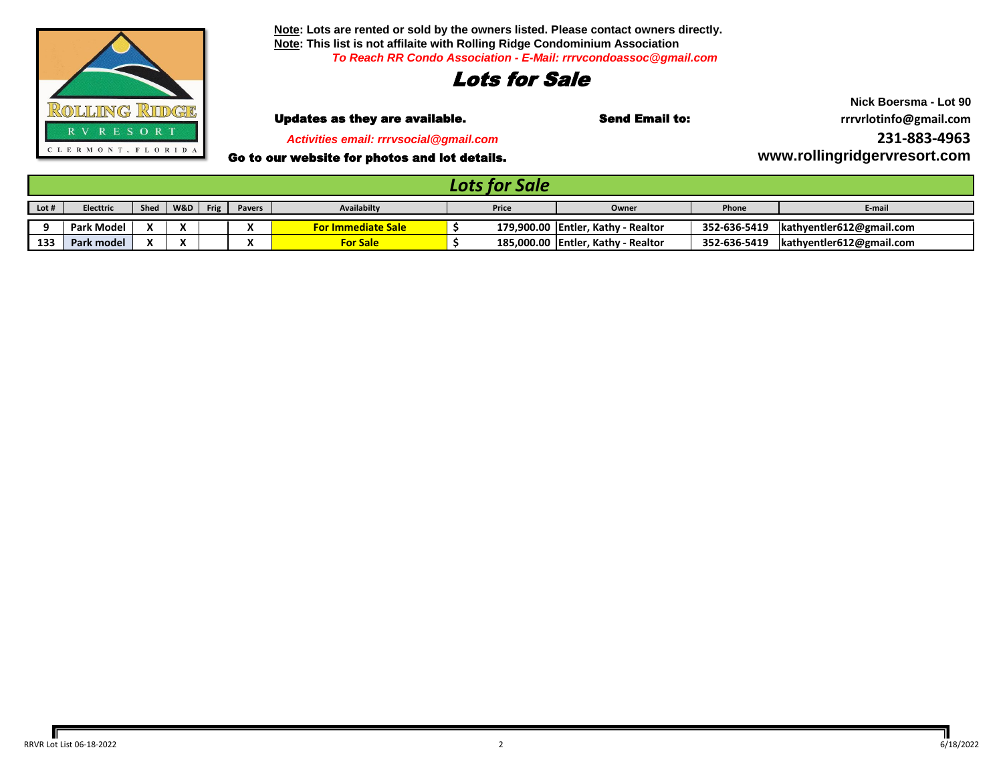

**Note: Lots are rented or sold by the owners listed. Please contact owners directly. Note: This list is not affilaite with Rolling Ridge Condominium Association** *To Reach RR Condo Association - E-Mail: rrrvcondoassoc@gmail.com*

## Lots for Sale

 *Activities email: rrrvsocial@gmail.com*

Go to our website for photos and lot details.

**Nick Boersma - Lot 90** Updates as they are available. Send Email to: **rrrvrlotinfo@gmail.com [2](mailto:rrrvrlotinfo@gmail.com)31-883-4963 [ww](http://www.rollingridgervresort.com/)w.rollingridgervresort.com**

| -----------     |                  |      |                          |      |               |                           |       |            |                                      |              |                          |
|-----------------|------------------|------|--------------------------|------|---------------|---------------------------|-------|------------|--------------------------------------|--------------|--------------------------|
| $\vert$ Lot #   | Electtric        | Sheo | W&D                      | Frig | <b>Pavers</b> | <b>Availabilty</b>        | Price |            | Owner                                | Phone        | E-mai.                   |
|                 | <b>Park Mode</b> |      | $\ddot{\phantom{a}}$<br> |      |               | <b>For Immediate Sale</b> |       | 179.900.00 | ., Kathy - Realtor<br><b>Entler.</b> | 352-636-5419 | kathyentler612@gmail.com |
| 13 <sup>2</sup> | Park model       |      | $\cdot$<br>$\mathbf{v}$  |      |               | <b>For Sale</b>           |       | 185,000.00 | , Kathy - Realtor<br>Entler,         | 352-636-5419 | kathyentler612@gmail.com |

*Lots for Sale*